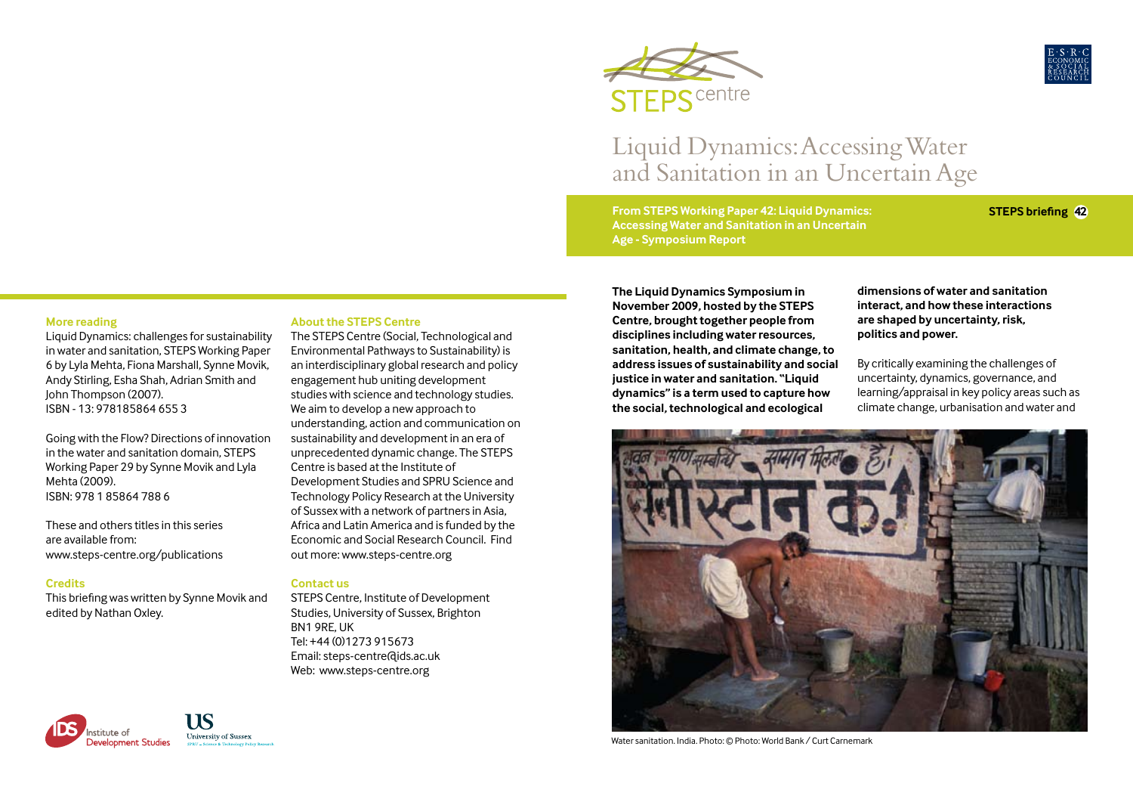

# Liquid Dynamics: Accessing Water and Sanitation in an Uncertain Age

**From STEPS Working Paper 42: Liquid Dynamics: Accessing Water and Sanitation in an Uncertain Age - Symposium Report**

**STEPS** centre

**STEPS briefing 42**

#### **More reading**

Liquid Dynamics: challenges for sustainability in water and sanitation, STEPS Working Paper 6 by Lyla Mehta, Fiona Marshall, Synne Movik, Andy Stirling, Esha Shah, Adrian Smith and John Thompson (2007). ISBN - 13: 978185864 655 3

Going with the Flow? Directions of innovation in the water and sanitation domain, STEPS Working Paper 29 by Synne Movik and Lyla Mehta (2009). ISBN: 978 1 85864 788 6

These and others titles in this series are available from: www.steps-centre.org/publications

#### **Credits**

This briefing was written by Synne Movik and edited by Nathan Oxley.

#### **About the STEPS Centre**

The STEPS Centre (Social, Technological and Environmental Pathways to Sustainability) is an interdisciplinary global research and policy engagement hub uniting development studies with science and technology studies. We aim to develop a new approach to understanding, action and communication on sustainability and development in an era of unprecedented dynamic change. The STEPS Centre is based at the Institute of Development Studies and SPRU Science and Technology Policy Research at the University of Sussex with a network of partners in Asia, Africa and Latin America and is funded by the Economic and Social Research Council. Find out more: www.steps-centre.org

#### **Contact us**

STEPS Centre, Institute of Development Studies, University of Sussex, Brighton BN1 9RE, UK Tel: +44 (0)1273 915673 Email: steps-centre@ids.ac.uk Web: www.steps-centre.org

**The Liquid Dynamics Symposium in November 2009, hosted by the STEPS Centre, brought together people from disciplines including water resources, sanitation, health, and climate change, to address issues of sustainability and social justice in water and sanitation. "Liquid dynamics" is a term used to capture how the social, technological and ecological** 

**dimensions of water and sanitation interact, and how these interactions are shaped by uncertainty, risk, politics and power.** 

By critically examining the challenges of uncertainty, dynamics, governance, and learning/appraisal in key policy areas such as climate change, urbanisation and water and



Water sanitation. India. Photo: © Photo: World Bank / Curt Carnemark